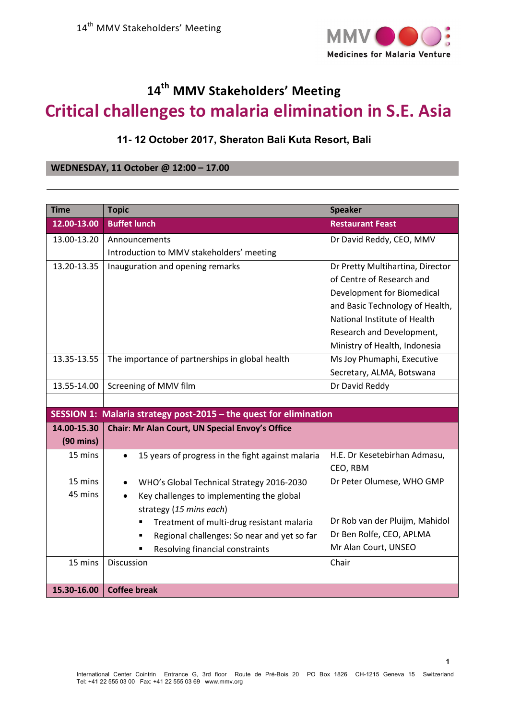

## **14th MMV Stakeholders' Meeting Critical challenges to malaria elimination in S.E. Asia**

## **11- 12 October 2017, Sheraton Bali Kuta Resort, Bali**

## **WEDNESDAY, 11 October @ 12:00 – 17.00**

| <b>Time</b>         | <b>Topic</b>                                                      | <b>Speaker</b>                   |
|---------------------|-------------------------------------------------------------------|----------------------------------|
| 12.00-13.00         | <b>Buffet lunch</b>                                               | <b>Restaurant Feast</b>          |
| 13.00-13.20         | Announcements                                                     | Dr David Reddy, CEO, MMV         |
|                     | Introduction to MMV stakeholders' meeting                         |                                  |
| 13.20-13.35         | Inauguration and opening remarks                                  | Dr Pretty Multihartina, Director |
|                     |                                                                   | of Centre of Research and        |
|                     |                                                                   | Development for Biomedical       |
|                     |                                                                   | and Basic Technology of Health,  |
|                     |                                                                   | National Institute of Health     |
|                     |                                                                   | Research and Development,        |
|                     |                                                                   | Ministry of Health, Indonesia    |
| 13.35-13.55         | The importance of partnerships in global health                   | Ms Joy Phumaphi, Executive       |
|                     |                                                                   | Secretary, ALMA, Botswana        |
| 13.55-14.00         | Screening of MMV film                                             | Dr David Reddy                   |
|                     |                                                                   |                                  |
|                     | SESSION 1: Malaria strategy post-2015 - the quest for elimination |                                  |
| 14.00-15.30         | Chair: Mr Alan Court, UN Special Envoy's Office                   |                                  |
| $(90 \text{ mins})$ |                                                                   |                                  |
| 15 mins             | 15 years of progress in the fight against malaria<br>$\bullet$    | H.E. Dr Kesetebirhan Admasu,     |
|                     |                                                                   | CEO, RBM                         |
| 15 mins             | WHO's Global Technical Strategy 2016-2030                         | Dr Peter Olumese, WHO GMP        |
| 45 mins             | Key challenges to implementing the global<br>$\bullet$            |                                  |
|                     | strategy (15 mins each)                                           |                                  |
|                     | Treatment of multi-drug resistant malaria                         | Dr Rob van der Pluijm, Mahidol   |
|                     | Regional challenges: So near and yet so far                       | Dr Ben Rolfe, CEO, APLMA         |
|                     | Resolving financial constraints                                   | Mr Alan Court, UNSEO             |
| 15 mins             | Discussion                                                        | Chair                            |
|                     |                                                                   |                                  |
| 15.30-16.00         | <b>Coffee break</b>                                               |                                  |

**1**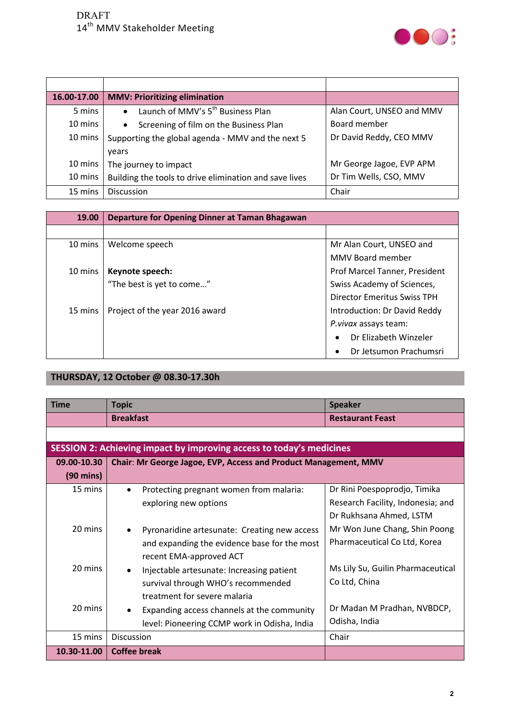

| 16.00-17.00 | <b>MMV: Prioritizing elimination</b>                   |                           |
|-------------|--------------------------------------------------------|---------------------------|
| 5 mins      | Launch of MMV's 5 <sup>th</sup> Business Plan          | Alan Court, UNSEO and MMV |
| 10 mins     | Screening of film on the Business Plan<br>$\bullet$    | Board member              |
| 10 mins     | Supporting the global agenda - MMV and the next 5      | Dr David Reddy, CEO MMV   |
|             | vears                                                  |                           |
| 10 mins     | The journey to impact                                  | Mr George Jagoe, EVP APM  |
| 10 mins     | Building the tools to drive elimination and save lives | Dr Tim Wells, CSO, MMV    |
| 15 mins     | <b>Discussion</b>                                      | Chair                     |

| 19.00   | Departure for Opening Dinner at Taman Bhagawan |                                     |
|---------|------------------------------------------------|-------------------------------------|
|         |                                                |                                     |
| 10 mins | Welcome speech                                 | Mr Alan Court, UNSEO and            |
|         |                                                | MMV Board member                    |
| 10 mins | Keynote speech:                                | Prof Marcel Tanner, President       |
|         | "The best is yet to come"                      | Swiss Academy of Sciences,          |
|         |                                                | Director Emeritus Swiss TPH         |
| 15 mins | Project of the year 2016 award                 | Introduction: Dr David Reddy        |
|         |                                                | P. vivax assays team:               |
|         |                                                | Dr Flizabeth Winzeler<br>$\bullet$  |
|         |                                                | Dr Jetsumon Prachumsri<br>$\bullet$ |

## **THURSDAY, 12 October @ 08.30-17.30h**

| <b>Time</b>         | <b>Topic</b>                                                         | <b>Speaker</b>                    |  |
|---------------------|----------------------------------------------------------------------|-----------------------------------|--|
|                     | <b>Breakfast</b>                                                     | <b>Restaurant Feast</b>           |  |
|                     |                                                                      |                                   |  |
|                     | SESSION 2: Achieving impact by improving access to today's medicines |                                   |  |
| 09.00-10.30         | Chair: Mr George Jagoe, EVP, Access and Product Management, MMV      |                                   |  |
| $(90 \text{ mins})$ |                                                                      |                                   |  |
| 15 mins             | Protecting pregnant women from malaria:                              | Dr Rini Poespoprodjo, Timika      |  |
|                     | exploring new options                                                | Research Facility, Indonesia; and |  |
|                     |                                                                      | Dr Rukhsana Ahmed, LSTM           |  |
| 20 mins             | Pyronaridine artesunate: Creating new access                         | Mr Won June Chang, Shin Poong     |  |
|                     | and expanding the evidence base for the most                         | Pharmaceutical Co Ltd, Korea      |  |
|                     | recent EMA-approved ACT                                              |                                   |  |
| 20 mins             | Injectable artesunate: Increasing patient                            | Ms Lily Su, Guilin Pharmaceutical |  |
|                     | survival through WHO's recommended                                   | Co Ltd, China                     |  |
|                     | treatment for severe malaria                                         |                                   |  |
| 20 mins             | Expanding access channels at the community                           | Dr Madan M Pradhan, NVBDCP,       |  |
|                     | level: Pioneering CCMP work in Odisha, India                         | Odisha, India                     |  |
| 15 mins             | <b>Discussion</b>                                                    | Chair                             |  |
| 10.30-11.00         | <b>Coffee break</b>                                                  |                                   |  |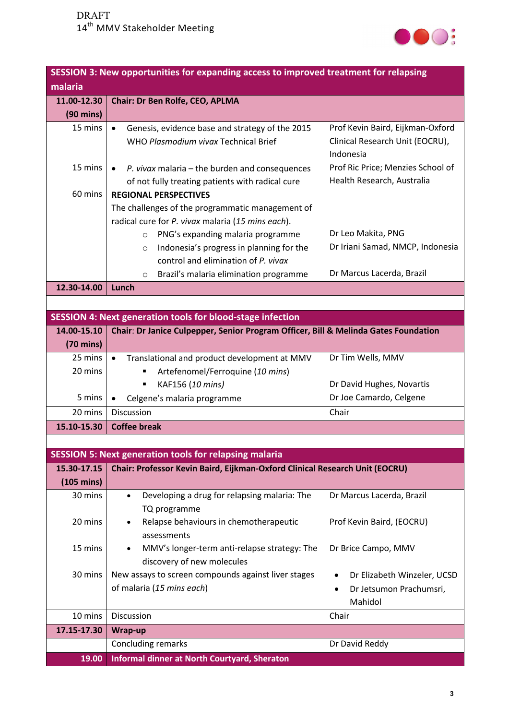

|                      | SESSION 3: New opportunities for expanding access to improved treatment for relapsing |                                    |  |  |
|----------------------|---------------------------------------------------------------------------------------|------------------------------------|--|--|
| malaria              |                                                                                       |                                    |  |  |
| 11.00-12.30          | Chair: Dr Ben Rolfe, CEO, APLMA                                                       |                                    |  |  |
| $(90 \text{ mins})$  |                                                                                       |                                    |  |  |
| 15 mins              | Genesis, evidence base and strategy of the 2015<br>$\bullet$                          | Prof Kevin Baird, Eijkman-Oxford   |  |  |
|                      | WHO Plasmodium vivax Technical Brief                                                  | Clinical Research Unit (EOCRU),    |  |  |
|                      |                                                                                       | Indonesia                          |  |  |
| 15 mins              | P. vivax malaria $-$ the burden and consequences<br>$\bullet$                         | Prof Ric Price; Menzies School of  |  |  |
|                      | of not fully treating patients with radical cure                                      | Health Research, Australia         |  |  |
| 60 mins              | <b>REGIONAL PERSPECTIVES</b>                                                          |                                    |  |  |
|                      | The challenges of the programmatic management of                                      |                                    |  |  |
|                      | radical cure for P. vivax malaria (15 mins each).                                     |                                    |  |  |
|                      | PNG's expanding malaria programme<br>$\circ$                                          | Dr Leo Makita, PNG                 |  |  |
|                      | Indonesia's progress in planning for the<br>$\circ$                                   | Dr Iriani Samad, NMCP, Indonesia   |  |  |
|                      | control and elimination of P. vivax                                                   |                                    |  |  |
|                      | Brazil's malaria elimination programme<br>$\circ$                                     | Dr Marcus Lacerda, Brazil          |  |  |
| 12.30-14.00          | Lunch                                                                                 |                                    |  |  |
|                      |                                                                                       |                                    |  |  |
|                      | <b>SESSION 4: Next generation tools for blood-stage infection</b>                     |                                    |  |  |
| 14.00-15.10          | Chair: Dr Janice Culpepper, Senior Program Officer, Bill & Melinda Gates Foundation   |                                    |  |  |
| $(70 \text{ mins})$  |                                                                                       |                                    |  |  |
| 25 mins              | Translational and product development at MMV<br>$\bullet$                             | Dr Tim Wells, MMV                  |  |  |
| 20 mins              | Artefenomel/Ferroquine (10 mins)                                                      |                                    |  |  |
|                      | KAF156 (10 mins)                                                                      | Dr David Hughes, Novartis          |  |  |
| 5 mins               | Celgene's malaria programme<br>$\bullet$                                              | Dr Joe Camardo, Celgene            |  |  |
| 20 mins              | <b>Discussion</b>                                                                     | Chair                              |  |  |
| 15.10-15.30          | <b>Coffee break</b>                                                                   |                                    |  |  |
|                      |                                                                                       |                                    |  |  |
|                      | <b>SESSION 5: Next generation tools for relapsing malaria</b>                         |                                    |  |  |
| 15.30-17.15          | Chair: Professor Kevin Baird, Eijkman-Oxford Clinical Research Unit (EOCRU)           |                                    |  |  |
| $(105 \text{ mins})$ |                                                                                       |                                    |  |  |
| 30 mins              | Developing a drug for relapsing malaria: The<br>$\bullet$<br>TQ programme             | Dr Marcus Lacerda, Brazil          |  |  |
| 20 mins              | Relapse behaviours in chemotherapeutic                                                | Prof Kevin Baird, (EOCRU)          |  |  |
|                      | assessments                                                                           |                                    |  |  |
| 15 mins              | MMV's longer-term anti-relapse strategy: The<br>discovery of new molecules            | Dr Brice Campo, MMV                |  |  |
| 30 mins              | New assays to screen compounds against liver stages                                   | Dr Elizabeth Winzeler, UCSD        |  |  |
|                      | of malaria (15 mins each)                                                             |                                    |  |  |
|                      |                                                                                       | Dr Jetsumon Prachumsri,<br>Mahidol |  |  |
| 10 mins              | Discussion                                                                            | Chair                              |  |  |
| 17.15-17.30          | Wrap-up                                                                               |                                    |  |  |
|                      | <b>Concluding remarks</b>                                                             | Dr David Reddy                     |  |  |
| 19.00                | <b>Informal dinner at North Courtyard, Sheraton</b>                                   |                                    |  |  |